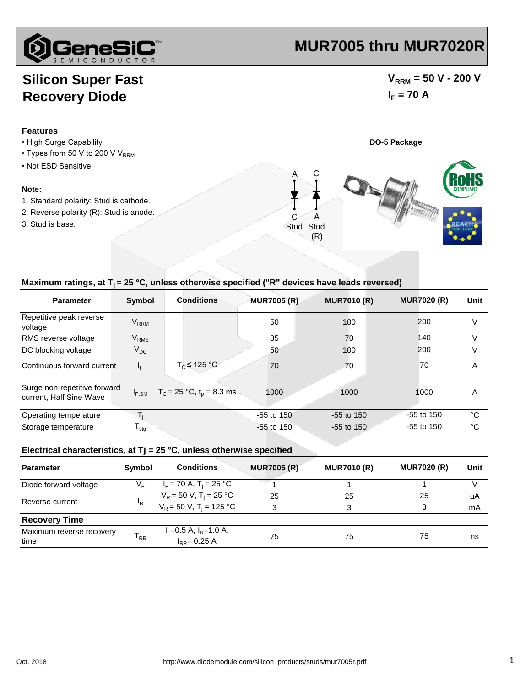

# **MUR7005 thru MUR7020R**

## **Silicon Super Fast Recovery Diode**

### $V_{\text{RRM}}$  = 50 V - 200 V  $I_F = 70 A$



#### Maximum ratings, at T<sub>i</sub> = 25 °C, unless otherwise specified ("R" devices have leads reversed)

| <b>Parameter</b>                                        | <b>Symbol</b>          | <b>Conditions</b>              | <b>MUR7005 (R)</b> | <b>MUR7010 (R)</b> | <b>MUR7020 (R)</b> | Unit |
|---------------------------------------------------------|------------------------|--------------------------------|--------------------|--------------------|--------------------|------|
| Repetitive peak reverse<br>voltage                      | <b>V<sub>RRM</sub></b> |                                | 50                 | 100                | 200                | V    |
| RMS reverse voltage                                     | <b>V<sub>RMS</sub></b> |                                | 35                 | 70                 | 140                | V    |
| DC blocking voltage                                     | $V_{DC}$               |                                | 50                 | 100                | 200                | V    |
| Continuous forward current                              | $I_F$                  | $T_c \leq 125 °C$              | 70                 | 70                 | 70                 | A    |
| Surge non-repetitive forward<br>current, Half Sine Wave | $I_{F,SM}$             | $T_c = 25 °C$ , $t_p = 8.3$ ms | 1000               | 1000               | 1000               | A    |
| Operating temperature                                   |                        |                                | $-55$ to $150$     | $-55$ to 150       | $-55$ to 150       | °C   |
| Storage temperature                                     | $T_{\text{stg}}$       |                                | $-55$ to $150$     | $-55$ to 150       | $-55$ to 150       | °C   |

#### **Electrical characteristics, at Tj = 25 °C, unless otherwise specified**

| <b>Parameter</b>                 | Symbol         | <b>Conditions</b>                            | <b>MUR7005 (R)</b> | <b>MUR7010 (R)</b> | <b>MUR7020 (R)</b> | Unit |
|----------------------------------|----------------|----------------------------------------------|--------------------|--------------------|--------------------|------|
| Diode forward voltage            | V⊧             | $I_F$ = 70 A, T <sub>i</sub> = 25 °C         |                    |                    |                    |      |
|                                  | <sup>I</sup> R | $V_R$ = 50 V, T <sub>i</sub> = 25 °C         | 25                 | 25                 | 25                 | μA   |
| Reverse current                  |                | $V_R = 50 V$ , T <sub>i</sub> = 125 °C       | 3                  | 3                  | 3                  | mA   |
| <b>Recovery Time</b>             |                |                                              |                    |                    |                    |      |
| Maximum reverse recovery<br>time | $T_{RR}$       | $I_F=0.5$ A, $I_R=1.0$ A,<br>$I_{RR}=0.25$ A | 75                 | 75                 | 75                 | ns   |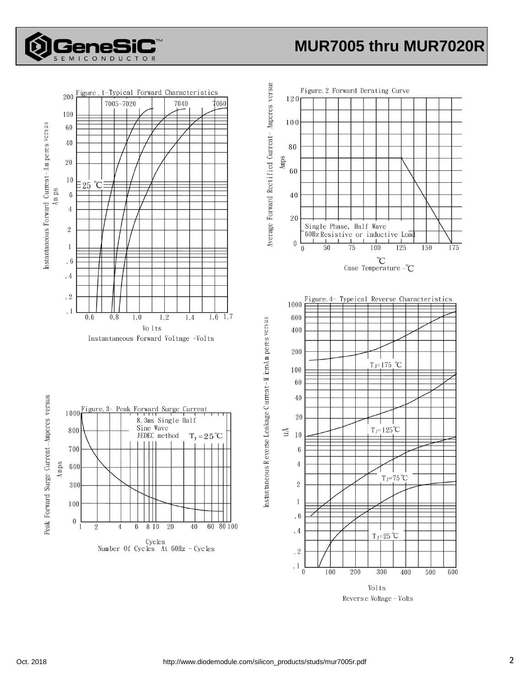

## **MUR7005 thru MUR7020R**



Volts Reverse Voltage - Volts